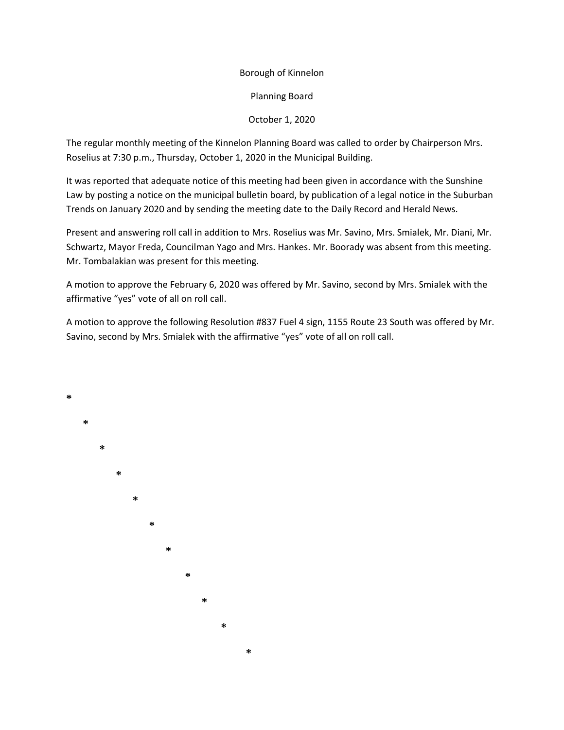#### Borough of Kinnelon

Planning Board

#### October 1, 2020

The regular monthly meeting of the Kinnelon Planning Board was called to order by Chairperson Mrs. Roselius at 7:30 p.m., Thursday, October 1, 2020 in the Municipal Building.

It was reported that adequate notice of this meeting had been given in accordance with the Sunshine Law by posting a notice on the municipal bulletin board, by publication of a legal notice in the Suburban Trends on January 2020 and by sending the meeting date to the Daily Record and Herald News.

Present and answering roll call in addition to Mrs. Roselius was Mr. Savino, Mrs. Smialek, Mr. Diani, Mr. Schwartz, Mayor Freda, Councilman Yago and Mrs. Hankes. Mr. Boorady was absent from this meeting. Mr. Tombalakian was present for this meeting.

A motion to approve the February 6, 2020 was offered by Mr. Savino, second by Mrs. Smialek with the affirmative "yes" vote of all on roll call.

A motion to approve the following Resolution #837 Fuel 4 sign, 1155 Route 23 South was offered by Mr. Savino, second by Mrs. Smialek with the affirmative "yes" vote of all on roll call.

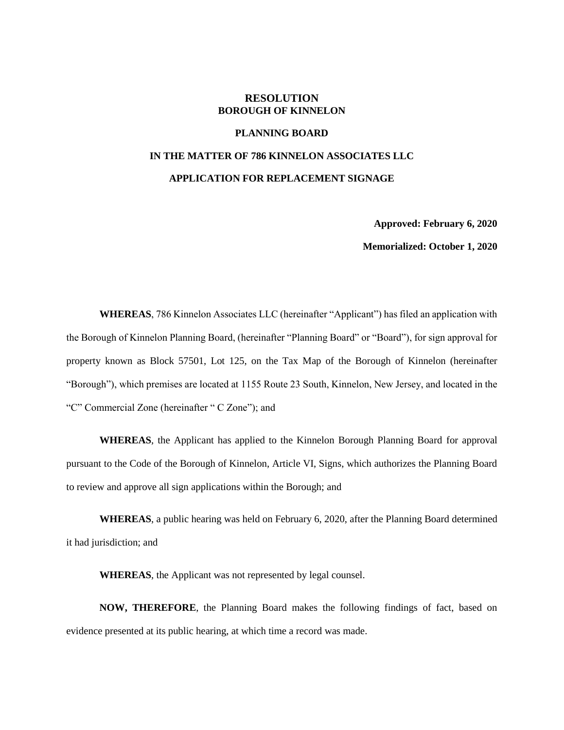#### **RESOLUTION BOROUGH OF KINNELON**

#### **PLANNING BOARD**

# **IN THE MATTER OF 786 KINNELON ASSOCIATES LLC APPLICATION FOR REPLACEMENT SIGNAGE**

**Approved: February 6, 2020**

**Memorialized: October 1, 2020**

**WHEREAS**, 786 Kinnelon Associates LLC (hereinafter "Applicant") has filed an application with the Borough of Kinnelon Planning Board, (hereinafter "Planning Board" or "Board"), for sign approval for property known as Block 57501, Lot 125, on the Tax Map of the Borough of Kinnelon (hereinafter "Borough"), which premises are located at 1155 Route 23 South, Kinnelon, New Jersey, and located in the "C" Commercial Zone (hereinafter " C Zone"); and

**WHEREAS**, the Applicant has applied to the Kinnelon Borough Planning Board for approval pursuant to the Code of the Borough of Kinnelon, Article VI, Signs, which authorizes the Planning Board to review and approve all sign applications within the Borough; and

**WHEREAS**, a public hearing was held on February 6, 2020, after the Planning Board determined it had jurisdiction; and

**WHEREAS**, the Applicant was not represented by legal counsel.

**NOW, THEREFORE**, the Planning Board makes the following findings of fact, based on evidence presented at its public hearing, at which time a record was made.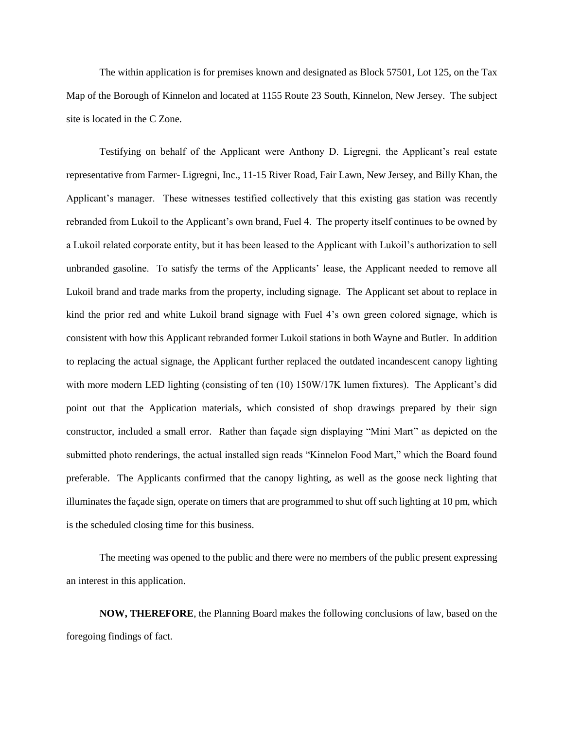The within application is for premises known and designated as Block 57501, Lot 125, on the Tax Map of the Borough of Kinnelon and located at 1155 Route 23 South, Kinnelon, New Jersey. The subject site is located in the C Zone.

Testifying on behalf of the Applicant were Anthony D. Ligregni, the Applicant's real estate representative from Farmer- Ligregni, Inc., 11-15 River Road, Fair Lawn, New Jersey, and Billy Khan, the Applicant's manager. These witnesses testified collectively that this existing gas station was recently rebranded from Lukoil to the Applicant's own brand, Fuel 4. The property itself continues to be owned by a Lukoil related corporate entity, but it has been leased to the Applicant with Lukoil's authorization to sell unbranded gasoline. To satisfy the terms of the Applicants' lease, the Applicant needed to remove all Lukoil brand and trade marks from the property, including signage. The Applicant set about to replace in kind the prior red and white Lukoil brand signage with Fuel 4's own green colored signage, which is consistent with how this Applicant rebranded former Lukoil stations in both Wayne and Butler. In addition to replacing the actual signage, the Applicant further replaced the outdated incandescent canopy lighting with more modern LED lighting (consisting of ten (10) 150W/17K lumen fixtures). The Applicant's did point out that the Application materials, which consisted of shop drawings prepared by their sign constructor, included a small error. Rather than façade sign displaying "Mini Mart" as depicted on the submitted photo renderings, the actual installed sign reads "Kinnelon Food Mart," which the Board found preferable. The Applicants confirmed that the canopy lighting, as well as the goose neck lighting that illuminates the façade sign, operate on timers that are programmed to shut off such lighting at 10 pm, which is the scheduled closing time for this business.

The meeting was opened to the public and there were no members of the public present expressing an interest in this application.

**NOW, THEREFORE**, the Planning Board makes the following conclusions of law, based on the foregoing findings of fact.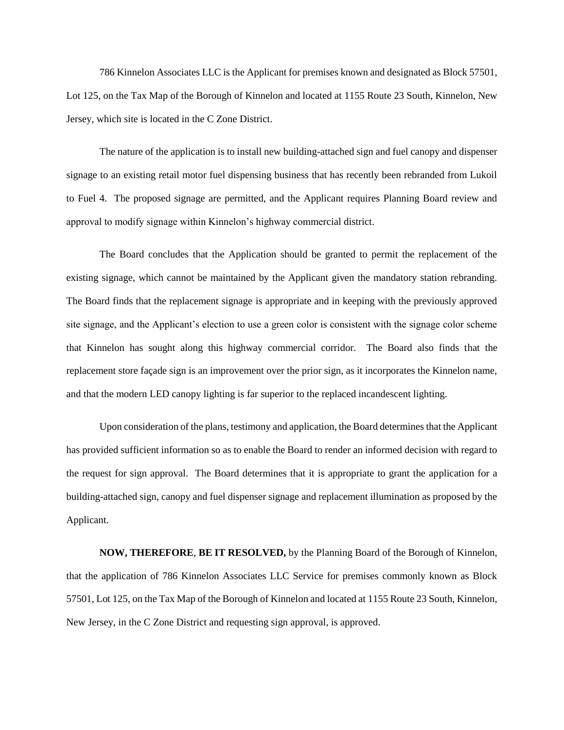786 Kinnelon Associates LLC is the Applicant for premises known and designated as Block 57501, Lot 125, on the Tax Map of the Borough of Kinnelon and located at 1155 Route 23 South, Kinnelon, New Jersey, which site is located in the C Zone District.

The nature of the application is to install new building-attached sign and fuel canopy and dispenser signage to an existing retail motor fuel dispensing business that has recently been rebranded from Lukoil to Fuel 4. The proposed signage are permitted, and the Applicant requires Planning Board review and approval to modify signage within Kinnelon's highway commercial district.

The Board concludes that the Application should be granted to permit the replacement of the existing signage, which cannot be maintained by the Applicant given the mandatory station rebranding. The Board finds that the replacement signage is appropriate and in keeping with the previously approved site signage, and the Applicant's election to use a green color is consistent with the signage color scheme that Kinnelon has sought along this highway commercial corridor. The Board also finds that the replacement store façade sign is an improvement over the prior sign, as it incorporates the Kinnelon name, and that the modern LED canopy lighting is far superior to the replaced incandescent lighting.

Upon consideration of the plans, testimony and application, the Board determines that the Applicant has provided sufficient information so as to enable the Board to render an informed decision with regard to the request for sign approval. The Board determines that it is appropriate to grant the application for a building-attached sign, canopy and fuel dispenser signage and replacement illumination as proposed by the Applicant.

**NOW, THEREFORE**, **BE IT RESOLVED,** by the Planning Board of the Borough of Kinnelon, that the application of 786 Kinnelon Associates LLC Service for premises commonly known as Block 57501, Lot 125, on the Tax Map of the Borough of Kinnelon and located at 1155 Route 23 South, Kinnelon, New Jersey, in the C Zone District and requesting sign approval, is approved.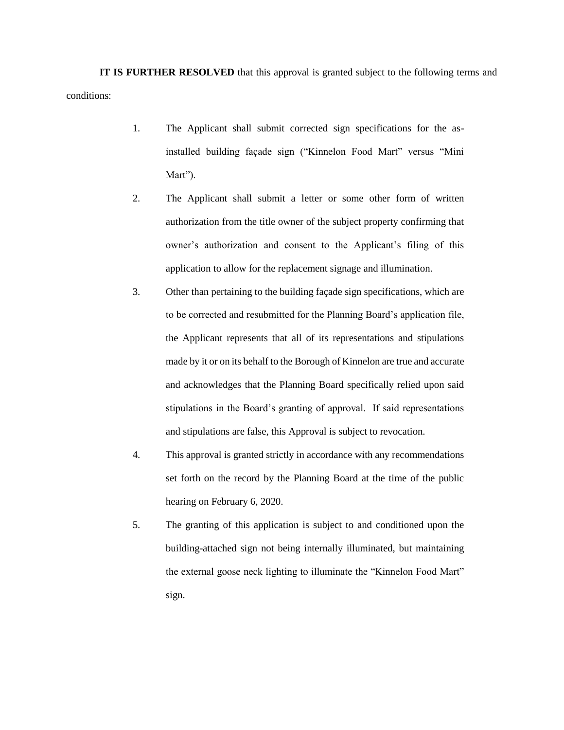**IT IS FURTHER RESOLVED** that this approval is granted subject to the following terms and conditions:

- 1. The Applicant shall submit corrected sign specifications for the asinstalled building façade sign ("Kinnelon Food Mart" versus "Mini Mart").
- 2. The Applicant shall submit a letter or some other form of written authorization from the title owner of the subject property confirming that owner's authorization and consent to the Applicant's filing of this application to allow for the replacement signage and illumination.
- 3. Other than pertaining to the building façade sign specifications, which are to be corrected and resubmitted for the Planning Board's application file, the Applicant represents that all of its representations and stipulations made by it or on its behalf to the Borough of Kinnelon are true and accurate and acknowledges that the Planning Board specifically relied upon said stipulations in the Board's granting of approval. If said representations and stipulations are false, this Approval is subject to revocation.
- 4. This approval is granted strictly in accordance with any recommendations set forth on the record by the Planning Board at the time of the public hearing on February 6, 2020.
- 5. The granting of this application is subject to and conditioned upon the building-attached sign not being internally illuminated, but maintaining the external goose neck lighting to illuminate the "Kinnelon Food Mart" sign.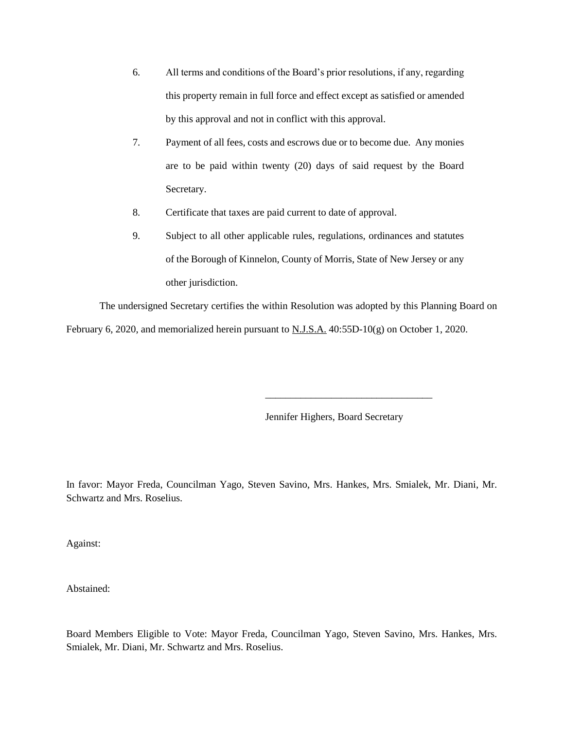- 6. All terms and conditions of the Board's prior resolutions, if any, regarding this property remain in full force and effect except as satisfied or amended by this approval and not in conflict with this approval.
- 7. Payment of all fees, costs and escrows due or to become due. Any monies are to be paid within twenty (20) days of said request by the Board Secretary.
- 8. Certificate that taxes are paid current to date of approval.
- 9. Subject to all other applicable rules, regulations, ordinances and statutes of the Borough of Kinnelon, County of Morris, State of New Jersey or any other jurisdiction.

The undersigned Secretary certifies the within Resolution was adopted by this Planning Board on February 6, 2020, and memorialized herein pursuant to  $N.J.S.A.$  40:55D-10(g) on October 1, 2020.

Jennifer Highers, Board Secretary

\_\_\_\_\_\_\_\_\_\_\_\_\_\_\_\_\_\_\_\_\_\_\_\_\_\_\_\_\_\_\_\_\_

In favor: Mayor Freda, Councilman Yago, Steven Savino, Mrs. Hankes, Mrs. Smialek, Mr. Diani, Mr. Schwartz and Mrs. Roselius.

Against:

Abstained:

Board Members Eligible to Vote: Mayor Freda, Councilman Yago, Steven Savino, Mrs. Hankes, Mrs. Smialek, Mr. Diani, Mr. Schwartz and Mrs. Roselius.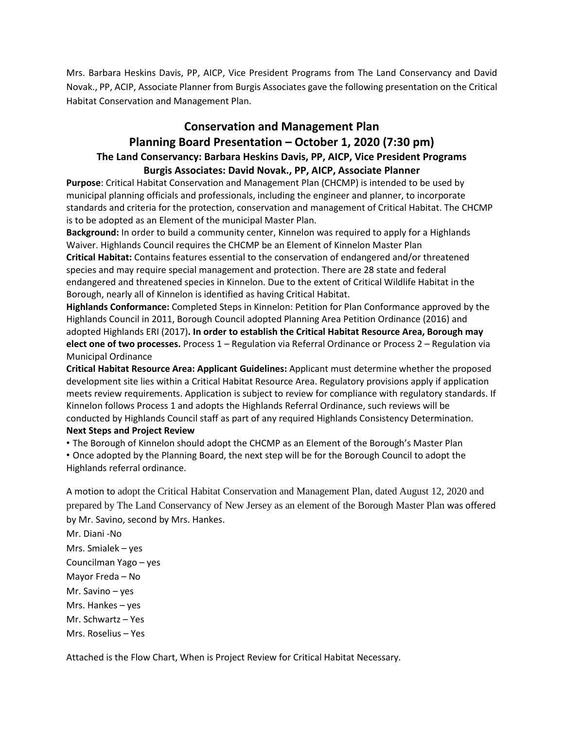Mrs. Barbara Heskins Davis, PP, AICP, Vice President Programs from The Land Conservancy and David Novak., PP, ACIP, Associate Planner from Burgis Associates gave the following presentation on the Critical Habitat Conservation and Management Plan.

## **Conservation and Management Plan**

### **Planning Board Presentation – October 1, 2020 (7:30 pm) The Land Conservancy: Barbara Heskins Davis, PP, AICP, Vice President Programs Burgis Associates: David Novak., PP, AICP, Associate Planner**

**Purpose**: Critical Habitat Conservation and Management Plan (CHCMP) is intended to be used by municipal planning officials and professionals, including the engineer and planner, to incorporate standards and criteria for the protection, conservation and management of Critical Habitat. The CHCMP is to be adopted as an Element of the municipal Master Plan.

**Background:** In order to build a community center, Kinnelon was required to apply for a Highlands Waiver. Highlands Council requires the CHCMP be an Element of Kinnelon Master Plan **Critical Habitat:** Contains features essential to the conservation of endangered and/or threatened species and may require special management and protection. There are 28 state and federal endangered and threatened species in Kinnelon. Due to the extent of Critical Wildlife Habitat in the Borough, nearly all of Kinnelon is identified as having Critical Habitat.

**Highlands Conformance:** Completed Steps in Kinnelon: Petition for Plan Conformance approved by the Highlands Council in 2011, Borough Council adopted Planning Area Petition Ordinance (2016) and adopted Highlands ERI (2017)**. In order to establish the Critical Habitat Resource Area, Borough may elect one of two processes.** Process 1 – Regulation via Referral Ordinance or Process 2 – Regulation via Municipal Ordinance

**Critical Habitat Resource Area: Applicant Guidelines:** Applicant must determine whether the proposed development site lies within a Critical Habitat Resource Area. Regulatory provisions apply if application meets review requirements. Application is subject to review for compliance with regulatory standards. If Kinnelon follows Process 1 and adopts the Highlands Referral Ordinance, such reviews will be conducted by Highlands Council staff as part of any required Highlands Consistency Determination. **Next Steps and Project Review**

• The Borough of Kinnelon should adopt the CHCMP as an Element of the Borough's Master Plan

• Once adopted by the Planning Board, the next step will be for the Borough Council to adopt the Highlands referral ordinance.

A motion to adopt the Critical Habitat Conservation and Management Plan, dated August 12, 2020 and prepared by The Land Conservancy of New Jersey as an element of the Borough Master Plan was offered by Mr. Savino, second by Mrs. Hankes.

Mr. Diani -No Mrs. Smialek – yes Councilman Yago – yes Mayor Freda – No Mr. Savino – yes Mrs. Hankes – yes Mr. Schwartz – Yes Mrs. Roselius – Yes

Attached is the Flow Chart, When is Project Review for Critical Habitat Necessary.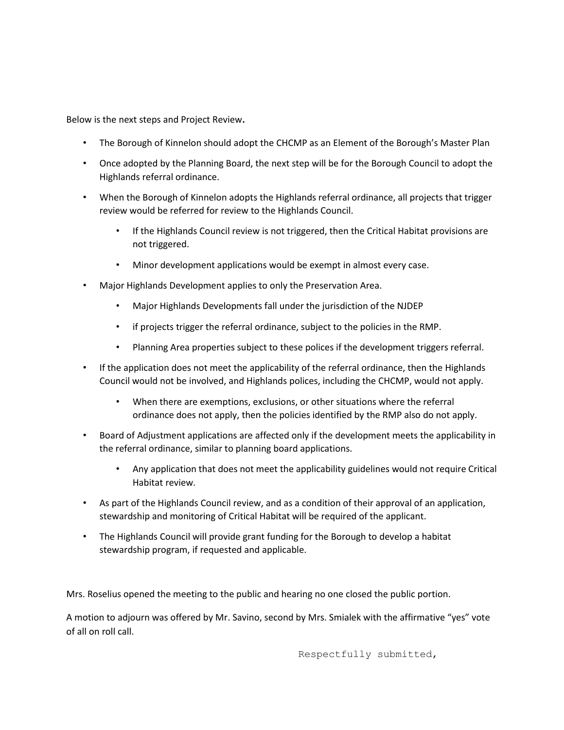Below is the next steps and Project Review**.**

- The Borough of Kinnelon should adopt the CHCMP as an Element of the Borough's Master Plan
- Once adopted by the Planning Board, the next step will be for the Borough Council to adopt the Highlands referral ordinance.
- When the Borough of Kinnelon adopts the Highlands referral ordinance, all projects that trigger review would be referred for review to the Highlands Council.
	- If the Highlands Council review is not triggered, then the Critical Habitat provisions are not triggered.
	- Minor development applications would be exempt in almost every case.
- Major Highlands Development applies to only the Preservation Area.
	- Major Highlands Developments fall under the jurisdiction of the NJDEP
	- if projects trigger the referral ordinance, subject to the policies in the RMP.
	- Planning Area properties subject to these polices if the development triggers referral.
- If the application does not meet the applicability of the referral ordinance, then the Highlands Council would not be involved, and Highlands polices, including the CHCMP, would not apply.
	- When there are exemptions, exclusions, or other situations where the referral ordinance does not apply, then the policies identified by the RMP also do not apply.
- Board of Adjustment applications are affected only if the development meets the applicability in the referral ordinance, similar to planning board applications.
	- Any application that does not meet the applicability guidelines would not require Critical Habitat review.
- As part of the Highlands Council review, and as a condition of their approval of an application, stewardship and monitoring of Critical Habitat will be required of the applicant.
- The Highlands Council will provide grant funding for the Borough to develop a habitat stewardship program, if requested and applicable.

Mrs. Roselius opened the meeting to the public and hearing no one closed the public portion.

A motion to adjourn was offered by Mr. Savino, second by Mrs. Smialek with the affirmative "yes" vote of all on roll call.

Respectfully submitted,